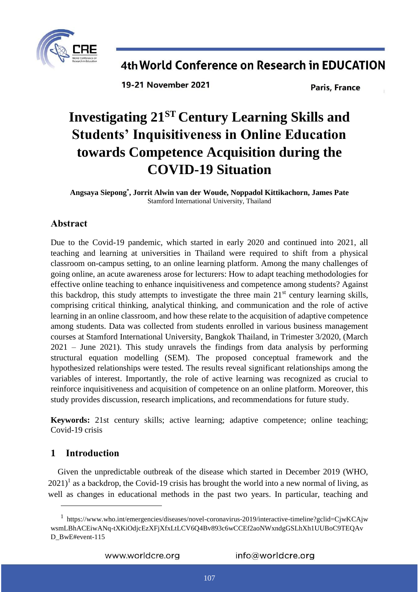

19-21 November 2021

**Paris, France** 

# **Investigating 21ST Century Learning Skills and Students' Inquisitiveness in Online Education towards Competence Acquisition during the COVID-19 Situation**

**Angsaya Siepong\* , Jorrit Alwin van der Woude, Noppadol Kittikachorn, James Pate** Stamford International University, Thailand

### **Abstract**

Due to the Covid-19 pandemic, which started in early 2020 and continued into 2021, all teaching and learning at universities in Thailand were required to shift from a physical classroom on-campus setting, to an online learning platform. Among the many challenges of going online, an acute awareness arose for lecturers: How to adapt teaching methodologies for effective online teaching to enhance inquisitiveness and competence among students? Against this backdrop, this study attempts to investigate the three main  $21<sup>st</sup>$  century learning skills, comprising critical thinking, analytical thinking, and communication and the role of active learning in an online classroom, and how these relate to the acquisition of adaptive competence among students. Data was collected from students enrolled in various business management courses at Stamford International University, Bangkok Thailand, in Trimester 3/2020, (March 2021 – June 2021). This study unravels the findings from data analysis by performing structural equation modelling (SEM). The proposed conceptual framework and the hypothesized relationships were tested. The results reveal significant relationships among the variables of interest. Importantly, the role of active learning was recognized as crucial to reinforce inquisitiveness and acquisition of competence on an online platform. Moreover, this study provides discussion, research implications, and recommendations for future study.

**Keywords:** 21st century skills; active learning; adaptive competence; online teaching; Covid-19 crisis

### **1 Introduction**

 $\overline{a}$ 

Given the unpredictable outbreak of the disease which started in December 2019 (WHO,  $2021$ <sup>1</sup> as a backdrop, the Covid-19 crisis has brought the world into a new normal of living, as well as changes in educational methods in the past two years. In particular, teaching and

<sup>1</sup> [https://www.who.int/emergencies/diseases/novel-coronavirus-2019/interactive-timeline?gclid=CjwKCAjw](https://www.who.int/emergencies/diseases/novel-coronavirus-2019/interactive-timeline?gclid=CjwKCAjwwsmLBhACEiwANq-tXKiOdjcEzXFjXfxLtLCV6Q4Bv893c6wCCEf2aoNWxndgGSLhXh1UUBoC9TEQAvD_BwE#event-115) [wsmLBhACEiwANq-tXKiOdjcEzXFjXfxLtLCV6Q4Bv893c6wCCEf2aoNWxndgGSLhXh1UUBoC9TEQAv](https://www.who.int/emergencies/diseases/novel-coronavirus-2019/interactive-timeline?gclid=CjwKCAjwwsmLBhACEiwANq-tXKiOdjcEzXFjXfxLtLCV6Q4Bv893c6wCCEf2aoNWxndgGSLhXh1UUBoC9TEQAvD_BwE#event-115) [D\\_BwE#event-115](https://www.who.int/emergencies/diseases/novel-coronavirus-2019/interactive-timeline?gclid=CjwKCAjwwsmLBhACEiwANq-tXKiOdjcEzXFjXfxLtLCV6Q4Bv893c6wCCEf2aoNWxndgGSLhXh1UUBoC9TEQAvD_BwE#event-115)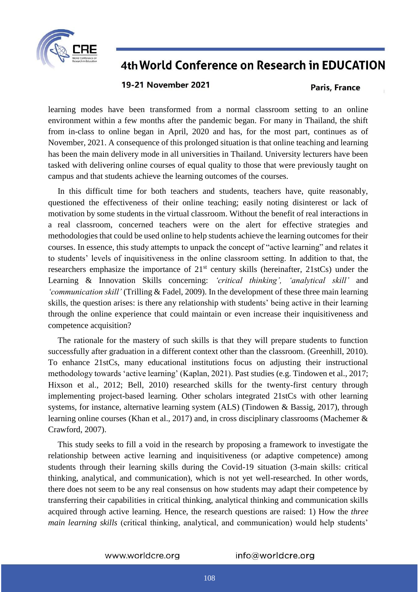

### **19-21 November 2021**

#### **Paris, France**

learning modes have been transformed from a normal classroom setting to an online environment within a few months after the pandemic began. For many in Thailand, the shift from in-class to online began in April, 2020 and has, for the most part, continues as of November, 2021. A consequence of this prolonged situation is that online teaching and learning has been the main delivery mode in all universities in Thailand. University lecturers have been tasked with delivering online courses of equal quality to those that were previously taught on campus and that students achieve the learning outcomes of the courses.

In this difficult time for both teachers and students, teachers have, quite reasonably, questioned the effectiveness of their online teaching; easily noting disinterest or lack of motivation by some students in the virtual classroom. Without the benefit of real interactions in a real classroom, concerned teachers were on the alert for effective strategies and methodologies that could be used online to help students achieve the learning outcomes for their courses. In essence, this study attempts to unpack the concept of "active learning" and relates it to students' levels of inquisitiveness in the online classroom setting. In addition to that, the researchers emphasize the importance of  $21<sup>st</sup>$  century skills (hereinafter, 21stCs) under the Learning & Innovation Skills concerning: *'critical thinking', 'analytical skill'* and *'communication skill'* (Trilling & Fadel, 2009). In the development of these three main learning skills, the question arises: is there any relationship with students' being active in their learning through the online experience that could maintain or even increase their inquisitiveness and competence acquisition?

The rationale for the mastery of such skills is that they will prepare students to function successfully after graduation in a different context other than the classroom. (Greenhill, 2010). To enhance 21stCs, many educational institutions focus on adjusting their instructional methodology towards 'active learning' (Kaplan, 2021). Past studies (e.g. Tindowen et al., 2017; Hixson et al., 2012; Bell, 2010) researched skills for the twenty-first century through implementing project-based learning. Other scholars integrated 21stCs with other learning systems, for instance, alternative learning system (ALS) (Tindowen & Bassig, 2017), through learning online courses (Khan et al., 2017) and, in cross disciplinary classrooms (Machemer & Crawford, 2007).

This study seeks to fill a void in the research by proposing a framework to investigate the relationship between active learning and inquisitiveness (or adaptive competence) among students through their learning skills during the Covid-19 situation (3-main skills: critical thinking, analytical, and communication), which is not yet well-researched. In other words, there does not seem to be any real consensus on how students may adapt their competence by transferring their capabilities in critical thinking, analytical thinking and communication skills acquired through active learning. Hence, the research questions are raised: 1) How the *three main learning skills* (critical thinking, analytical, and communication) would help students'

www.worldcre.org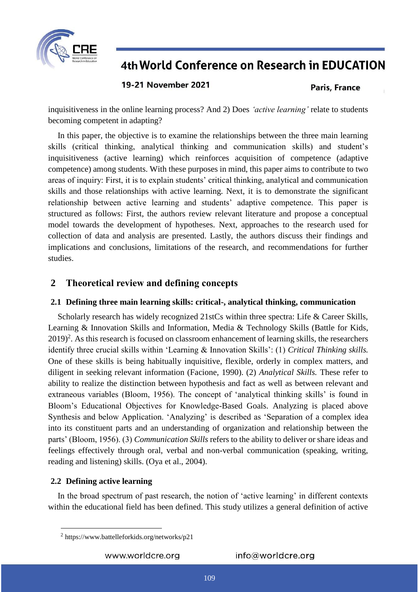

**19-21 November 2021** 

**Paris, France** 

inquisitiveness in the online learning process? And 2) Does *'active learning'* relate to students becoming competent in adapting?

In this paper, the objective is to examine the relationships between the three main learning skills (critical thinking, analytical thinking and communication skills) and student's inquisitiveness (active learning) which reinforces acquisition of competence (adaptive competence) among students. With these purposes in mind, this paper aims to contribute to two areas of inquiry: First, it is to explain students' critical thinking, analytical and communication skills and those relationships with active learning. Next, it is to demonstrate the significant relationship between active learning and students' adaptive competence. This paper is structured as follows: First, the authors review relevant literature and propose a conceptual model towards the development of hypotheses. Next, approaches to the research used for collection of data and analysis are presented. Lastly, the authors discuss their findings and implications and conclusions, limitations of the research, and recommendations for further studies.

### **2 Theoretical review and defining concepts**

### **2.1 Defining three main learning skills: critical-, analytical thinking, communication**

Scholarly research has widely recognized 21stCs within three spectra: Life & Career Skills, Learning & Innovation Skills and Information, Media & Technology Skills (Battle for Kids,  $2019$ <sup>2</sup>. As this research is focused on classroom enhancement of learning skills, the researchers identify three crucial skills within 'Learning & Innovation Skills': (1) *Critical Thinking skills.*  One of these skills is being habitually inquisitive, flexible, orderly in complex matters, and diligent in seeking relevant information (Facione, 1990). (2) *Analytical Skills.* These refer to ability to realize the distinction between hypothesis and fact as well as between relevant and extraneous variables (Bloom, 1956). The concept of 'analytical thinking skills' is found in Bloom's Educational Objectives for Knowledge-Based Goals. Analyzing is placed above Synthesis and below Application. 'Analyzing' is described as 'Separation of a complex idea into its constituent parts and an understanding of organization and relationship between the parts' (Bloom, 1956). (3) *Communication Skills* refers to the ability to deliver or share ideas and feelings effectively through oral, verbal and non-verbal communication (speaking, writing, reading and listening) skills. (Oya et al., 2004).

### **2.2 Defining active learning**

 $\overline{a}$ 

In the broad spectrum of past research, the notion of 'active learning' in different contexts within the educational field has been defined. This study utilizes a general definition of active

www.worldcre.org

<sup>2</sup> <https://www.battelleforkids.org/networks/p21>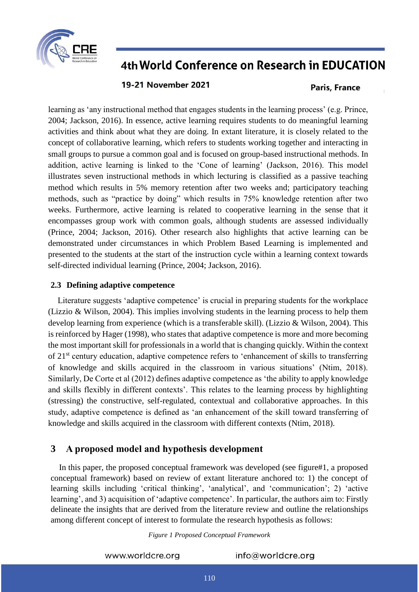

### 19-21 November 2021

### **Paris, France**

learning as 'any instructional method that engages students in the learning process' (e.g. Prince, 2004; Jackson, 2016). In essence, active learning requires students to do meaningful learning activities and think about what they are doing. In extant literature, it is closely related to the concept of collaborative learning, which refers to students working together and interacting in small groups to pursue a common goal and is focused on group-based instructional methods. In addition, active learning is linked to the 'Cone of learning' (Jackson, 2016). This model illustrates seven instructional methods in which lecturing is classified as a passive teaching method which results in 5% memory retention after two weeks and; participatory teaching methods, such as "practice by doing" which results in 75% knowledge retention after two weeks. Furthermore, active learning is related to cooperative learning in the sense that it encompasses group work with common goals, although students are assessed individually (Prince, 2004; Jackson, 2016). Other research also highlights that active learning can be demonstrated under circumstances in which Problem Based Learning is implemented and presented to the students at the start of the instruction cycle within a learning context towards self-directed individual learning (Prince, 2004; Jackson, 2016).

### **2.3 Defining adaptive competence**

Literature suggests 'adaptive competence' is crucial in preparing students for the workplace (Lizzio & Wilson, 2004). This implies involving students in the learning process to help them develop learning from experience (which is a transferable skill). (Lizzio & Wilson, 2004). This is reinforced by Hager (1998), who states that adaptive competence is more and more becoming the most important skill for professionals in a world that is changing quickly. Within the context of 21st century education, adaptive competence refers to 'enhancement of skills to transferring of knowledge and skills acquired in the classroom in various situations' (Ntim, 2018). Similarly, De Corte et al (2012) defines adaptive competence as 'the ability to apply knowledge and skills flexibly in different contexts'. This relates to the learning process by highlighting (stressing) the constructive, self-regulated, contextual and collaborative approaches. In this study, adaptive competence is defined as 'an enhancement of the skill toward transferring of knowledge and skills acquired in the classroom with different contexts (Ntim, 2018).

### **3 A proposed model and hypothesis development**

In this paper, the proposed conceptual framework was developed (see figure#1, a proposed conceptual framework) based on review of extant literature anchored to: 1) the concept of learning skills including 'critical thinking', 'analytical', and 'communication'; 2) 'active learning', and 3) acquisition of 'adaptive competence'. In particular, the authors aim to: Firstly delineate the insights that are derived from the literature review and outline the relationships among different concept of interest to formulate the research hypothesis as follows:

*Figure 1 Proposed Conceptual Framework*

www.worldcre.org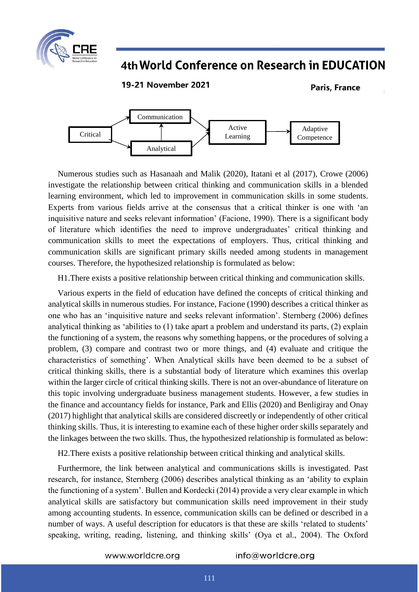

19-21 November 2021

**Paris, France** 



Numerous studies such as Hasanaah and Malik (2020), Itatani et al (2017), Crowe (2006) investigate the relationship between critical thinking and communication skills in a blended learning environment, which led to improvement in communication skills in some students. Experts from various fields arrive at the consensus that a critical thinker is one with 'an inquisitive nature and seeks relevant information' (Facione, 1990). There is a significant body of literature which identifies the need to improve undergraduates' critical thinking and communication skills to meet the expectations of employers. Thus, critical thinking and communication skills are significant primary skills needed among students in management courses. Therefore, the hypothesized relationship is formulated as below:

H1.There exists a positive relationship between critical thinking and communication skills.

Various experts in the field of education have defined the concepts of critical thinking and analytical skills in numerous studies. For instance, Facione (1990) describes a critical thinker as one who has an 'inquisitive nature and seeks relevant information'. Sternberg (2006) defines analytical thinking as 'abilities to (1) take apart a problem and understand its parts, (2) explain the functioning of a system, the reasons why something happens, or the procedures of solving a problem, (3) compare and contrast two or more things, and (4) evaluate and critique the characteristics of something'. When Analytical skills have been deemed to be a subset of critical thinking skills, there is a substantial body of literature which examines this overlap within the larger circle of critical thinking skills. There is not an over-abundance of literature on this topic involving undergraduate business management students. However, a few studies in the finance and accountancy fields for instance, Park and Ellis (2020) and Benligiray and Onay (2017) highlight that analytical skills are considered discreetly or independently of other critical thinking skills. Thus, it is interesting to examine each of these higher order skills separately and the linkages between the two skills. Thus, the hypothesized relationship is formulated as below:

H2.There exists a positive relationship between critical thinking and analytical skills.

Furthermore, the link between analytical and communications skills is investigated. Past research, for instance, Sternberg (2006) describes analytical thinking as an 'ability to explain the functioning of a system'. Bullen and Kordecki (2014) provide a very clear example in which analytical skills are satisfactory but communication skills need improvement in their study among accounting students. In essence, communication skills can be defined or described in a number of ways. A useful description for educators is that these are skills 'related to students' speaking, writing, reading, listening, and thinking skills' (Oya et al., 2004). The Oxford

www.worldcre.org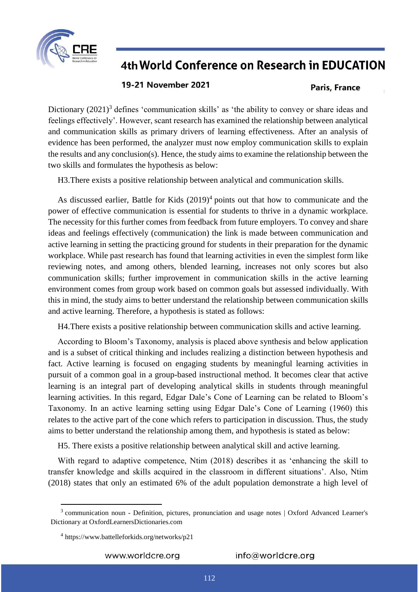

### 19-21 November 2021

#### **Paris, France**

Dictionary  $(2021)^3$  defines 'communication skills' as 'the ability to convey or share ideas and feelings effectively'. However, scant research has examined the relationship between analytical and communication skills as primary drivers of learning effectiveness. After an analysis of evidence has been performed, the analyzer must now employ communication skills to explain the results and any conclusion(s). Hence, the study aims to examine the relationship between the two skills and formulates the hypothesis as below:

H3.There exists a positive relationship between analytical and communication skills.

As discussed earlier, Battle for Kids  $(2019)^4$  points out that how to communicate and the power of effective communication is essential for students to thrive in a dynamic workplace. The necessity for this further comes from feedback from future employers. To convey and share ideas and feelings effectively (communication) the link is made between communication and active learning in setting the practicing ground for students in their preparation for the dynamic workplace. While past research has found that learning activities in even the simplest form like reviewing notes, and among others, blended learning, increases not only scores but also communication skills; further improvement in communication skills in the active learning environment comes from group work based on common goals but assessed individually. With this in mind, the study aims to better understand the relationship between communication skills and active learning. Therefore, a hypothesis is stated as follows:

H4.There exists a positive relationship between communication skills and active learning.

According to Bloom's Taxonomy, analysis is placed above synthesis and below application and is a subset of critical thinking and includes realizing a distinction between hypothesis and fact. Active learning is focused on engaging students by meaningful learning activities in pursuit of a common goal in a group-based instructional method. It becomes clear that active learning is an integral part of developing analytical skills in students through meaningful learning activities. In this regard, Edgar Dale's Cone of Learning can be related to Bloom's Taxonomy. In an active learning setting using Edgar Dale's Cone of Learning (1960) this relates to the active part of the cone which refers to participation in discussion. Thus, the study aims to better understand the relationship among them, and hypothesis is stated as below:

H5. There exists a positive relationship between analytical skill and active learning.

With regard to adaptive competence, Ntim (2018) describes it as 'enhancing the skill to transfer knowledge and skills acquired in the classroom in different situations'. Also, Ntim (2018) states that only an estimated 6% of the adult population demonstrate a high level of

 $\overline{a}$ 

www.worldcre.org

<sup>&</sup>lt;sup>3</sup> communication noun - Definition, pictures, pronunciation and usage notes | Oxford Advanced Learner's [Dictionary at OxfordLearnersDictionaries.com](https://www.oxfordlearnersdictionaries.com/definition/english/communication?q=communication)

<sup>4</sup> <https://www.battelleforkids.org/networks/p21>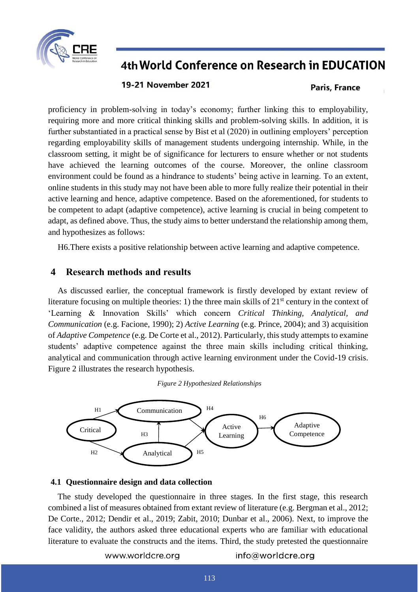

### 19-21 November 2021

#### **Paris, France**

proficiency in problem-solving in today's economy; further linking this to employability, requiring more and more critical thinking skills and problem-solving skills. In addition, it is further substantiated in a practical sense by Bist et al (2020) in outlining employers' perception regarding employability skills of management students undergoing internship. While, in the classroom setting, it might be of significance for lecturers to ensure whether or not students have achieved the learning outcomes of the course. Moreover, the online classroom environment could be found as a hindrance to students' being active in learning. To an extent, online students in this study may not have been able to more fully realize their potential in their active learning and hence, adaptive competence. Based on the aforementioned, for students to be competent to adapt (adaptive competence), active learning is crucial in being competent to adapt, as defined above. Thus, the study aims to better understand the relationship among them, and hypothesizes as follows:

H6.There exists a positive relationship between active learning and adaptive competence.

### **4 Research methods and results**

As discussed earlier, the conceptual framework is firstly developed by extant review of literature focusing on multiple theories: 1) the three main skills of  $21<sup>st</sup>$  century in the context of 'Learning & Innovation Skills' which concern *Critical Thinking, Analytical, and Communication* (e.g. Facione, 1990); 2) *Active Learning* (e.g. Prince, 2004); and 3) acquisition of *Adaptive Competence* (e.g. De Corte et al., 2012). Particularly, this study attempts to examine students' adaptive competence against the three main skills including critical thinking, analytical and communication through active learning environment under the Covid-19 crisis. Figure 2 illustrates the research hypothesis.





#### **4.1 Questionnaire design and data collection**

The study developed the questionnaire in three stages. In the first stage, this research combined a list of measures obtained from extant review of literature (e.g. Bergman et al., 2012; De Corte., 2012; Dendir et al., 2019; Zabit, 2010; Dunbar et al., 2006). Next, to improve the face validity, the authors asked three educational experts who are familiar with educational literature to evaluate the constructs and the items. Third, the study pretested the questionnaire

www.worldcre.org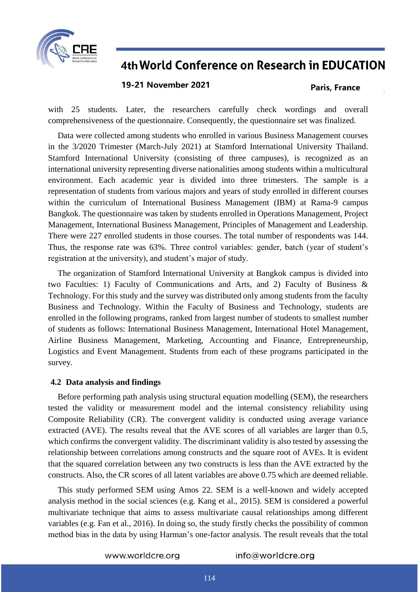

### **19-21 November 2021**

#### **Paris, France**

with 25 students. Later, the researchers carefully check wordings and overall comprehensiveness of the questionnaire. Consequently, the questionnaire set was finalized.

Data were collected among students who enrolled in various Business Management courses in the 3/2020 Trimester (March-July 2021) at Stamford International University Thailand. Stamford International University (consisting of three campuses), is recognized as an international university representing diverse nationalities among students within a multicultural environment. Each academic year is divided into three trimesters. The sample is a representation of students from various majors and years of study enrolled in different courses within the curriculum of International Business Management (IBM) at Rama-9 campus Bangkok. The questionnaire was taken by students enrolled in Operations Management, Project Management, International Business Management, Principles of Management and Leadership. There were 227 enrolled students in those courses. The total number of respondents was 144. Thus, the response rate was 63%. Three control variables: gender, batch (year of student's registration at the university), and student's major of study.

The organization of Stamford International University at Bangkok campus is divided into two Faculties: 1) Faculty of Communications and Arts, and 2) Faculty of Business & Technology. For this study and the survey was distributed only among students from the faculty Business and Technology. Within the Faculty of Business and Technology, students are enrolled in the following programs, ranked from largest number of students to smallest number of students as follows: International Business Management, International Hotel Management, Airline Business Management, Marketing, Accounting and Finance, Entrepreneurship, Logistics and Event Management. Students from each of these programs participated in the survey.

#### **4.2 Data analysis and findings**

Before performing path analysis using structural equation modelling (SEM), the researchers tested the validity or measurement model and the internal consistency reliability using Composite Reliability (CR). The convergent validity is conducted using average variance extracted (AVE). The results reveal that the AVE scores of all variables are larger than 0.5, which confirms the convergent validity. The discriminant validity is also tested by assessing the relationship between correlations among constructs and the square root of AVEs. It is evident that the squared correlation between any two constructs is less than the AVE extracted by the constructs. Also, the CR scores of all latent variables are above 0.75 which are deemed reliable.

This study performed SEM using Amos 22. SEM is a well-known and widely accepted analysis method in the social sciences (e.g. Kang et al., 2015). SEM is considered a powerful multivariate technique that aims to assess multivariate causal relationships among different variables (e.g. Fan et al., 2016). In doing so, the study firstly checks the possibility of common method bias in the data by using Harman's one-factor analysis. The result reveals that the total

www.worldcre.org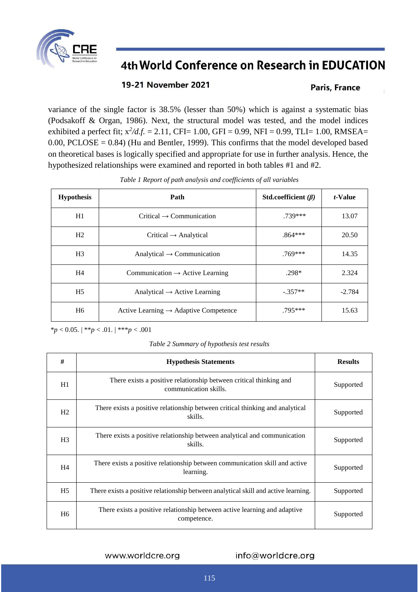

### 19-21 November 2021

### Paris, France

variance of the single factor is 38.5% (lesser than 50%) which is against a systematic bias (Podsakoff & Organ, 1986). Next, the structural model was tested, and the model indices exhibited a perfect fit; x*<sup>2</sup> /d.f.* = 2.11, CFI= 1.00, GFI = 0.99, NFI = 0.99, TLI= 1.00, RMSEA=  $0.00$ , PCLOSE =  $0.84$ ) (Hu and Bentler, 1999). This confirms that the model developed based on theoretical bases is logically specified and appropriate for use in further analysis. Hence, the hypothesized relationships were examined and reported in both tables #1 and #2.

| <b>Hypothesis</b> | Path                                              | Std.coefficient $(\beta)$ | <i>t</i> -Value |
|-------------------|---------------------------------------------------|---------------------------|-----------------|
| H1                | $Critical \rightarrow Communication$              | $.739***$                 | 13.07           |
| H <sub>2</sub>    | $Critical \rightarrow Analytical$                 | $.864***$                 | 20.50           |
| H <sub>3</sub>    | Analytical $\rightarrow$ Communication            | $.769***$                 | 14.35           |
| H <sub>4</sub>    | Communication $\rightarrow$ Active Learning       | $.298*$                   | 2.324           |
| H <sub>5</sub>    | Analytical $\rightarrow$ Active Learning          | $-.357**$                 | $-2.784$        |
| H <sub>6</sub>    | Active Learning $\rightarrow$ Adaptive Competence | $.795***$                 | 15.63           |

*Table 1 Report of path analysis and coefficients of all variables*

\**p* < 0.05. | \*\**p* < .01. | \*\*\**p* < .001

*Table 2 Summary of hypothesis test results*

| #              | <b>Hypothesis Statements</b>                                                                | <b>Results</b> |
|----------------|---------------------------------------------------------------------------------------------|----------------|
| H1             | There exists a positive relationship between critical thinking and<br>communication skills. | Supported      |
| H2             | There exists a positive relationship between critical thinking and analytical<br>skills.    | Supported      |
| H <sub>3</sub> | There exists a positive relationship between analytical and communication<br>skills.        | Supported      |
| H <sub>4</sub> | There exists a positive relationship between communication skill and active<br>learning.    | Supported      |
| H <sub>5</sub> | There exists a positive relationship between analytical skill and active learning.          | Supported      |
| H <sub>6</sub> | There exists a positive relationship between active learning and adaptive<br>competence.    | Supported      |

www.worldcre.org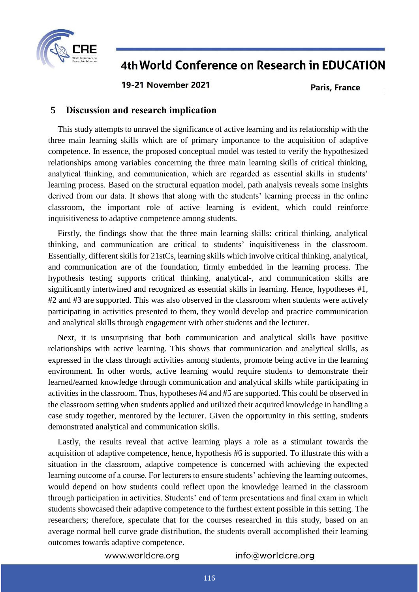

**19-21 November 2021** 

#### **Paris, France**

### **5 Discussion and research implication**

This study attempts to unravel the significance of active learning and its relationship with the three main learning skills which are of primary importance to the acquisition of adaptive competence. In essence, the proposed conceptual model was tested to verify the hypothesized relationships among variables concerning the three main learning skills of critical thinking, analytical thinking, and communication, which are regarded as essential skills in students' learning process. Based on the structural equation model, path analysis reveals some insights derived from our data. It shows that along with the students' learning process in the online classroom, the important role of active learning is evident, which could reinforce inquisitiveness to adaptive competence among students.

Firstly, the findings show that the three main learning skills: critical thinking, analytical thinking, and communication are critical to students' inquisitiveness in the classroom. Essentially, different skills for 21stCs, learning skills which involve critical thinking, analytical, and communication are of the foundation, firmly embedded in the learning process. The hypothesis testing supports critical thinking, analytical-, and communication skills are significantly intertwined and recognized as essential skills in learning. Hence, hypotheses #1, #2 and #3 are supported. This was also observed in the classroom when students were actively participating in activities presented to them, they would develop and practice communication and analytical skills through engagement with other students and the lecturer.

Next, it is unsurprising that both communication and analytical skills have positive relationships with active learning. This shows that communication and analytical skills, as expressed in the class through activities among students, promote being active in the learning environment. In other words, active learning would require students to demonstrate their learned/earned knowledge through communication and analytical skills while participating in activities in the classroom. Thus, hypotheses #4 and #5 are supported. This could be observed in the classroom setting when students applied and utilized their acquired knowledge in handling a case study together, mentored by the lecturer. Given the opportunity in this setting, students demonstrated analytical and communication skills.

Lastly, the results reveal that active learning plays a role as a stimulant towards the acquisition of adaptive competence, hence, hypothesis #6 is supported. To illustrate this with a situation in the classroom, adaptive competence is concerned with achieving the expected learning outcome of a course. For lecturers to ensure students' achieving the learning outcomes, would depend on how students could reflect upon the knowledge learned in the classroom through participation in activities. Students' end of term presentations and final exam in which students showcased their adaptive competence to the furthest extent possible in this setting. The researchers; therefore, speculate that for the courses researched in this study, based on an average normal bell curve grade distribution, the students overall accomplished their learning outcomes towards adaptive competence.

www.worldcre.org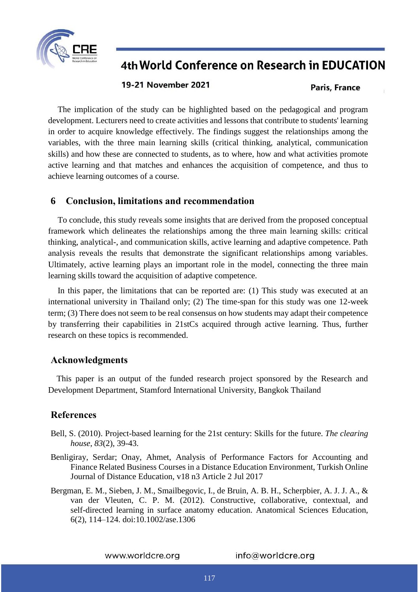

#### 19-21 November 2021

#### **Paris, France**

The implication of the study can be highlighted based on the pedagogical and program development. Lecturers need to create activities and lessons that contribute to students' learning in order to acquire knowledge effectively. The findings suggest the relationships among the variables, with the three main learning skills (critical thinking, analytical, communication skills) and how these are connected to students, as to where, how and what activities promote active learning and that matches and enhances the acquisition of competence, and thus to achieve learning outcomes of a course.

### **6 Conclusion, limitations and recommendation**

To conclude, this study reveals some insights that are derived from the proposed conceptual framework which delineates the relationships among the three main learning skills: critical thinking, analytical-, and communication skills, active learning and adaptive competence. Path analysis reveals the results that demonstrate the significant relationships among variables. Ultimately, active learning plays an important role in the model, connecting the three main learning skills toward the acquisition of adaptive competence.

In this paper, the limitations that can be reported are: (1) This study was executed at an international university in Thailand only; (2) The time-span for this study was one 12-week term; (3) There does not seem to be real consensus on how students may adapt their competence by transferring their capabilities in 21stCs acquired through active learning. Thus, further research on these topics is recommended.

#### **Acknowledgments**

This paper is an output of the funded research project sponsored by the Research and Development Department, Stamford International University, Bangkok Thailand

### **References**

- Bell, S. (2010). Project-based learning for the 21st century: Skills for the future. *The clearing house*, *83*(2), 39-43.
- Benligiray, Serdar; Onay, Ahmet, Analysis of Performance Factors for Accounting and Finance Related Business Courses in a Distance Education Environment, Turkish Online Journal of Distance Education, v18 n3 Article 2 Jul 2017
- Bergman, E. M., Sieben, J. M., Smailbegovic, I., de Bruin, A. B. H., Scherpbier, A. J. J. A., & van der Vleuten, C. P. M. (2012). Constructive, collaborative, contextual, and self-directed learning in surface anatomy education. Anatomical Sciences Education, 6(2), 114–124. doi:10.1002/ase.1306

www.worldcre.org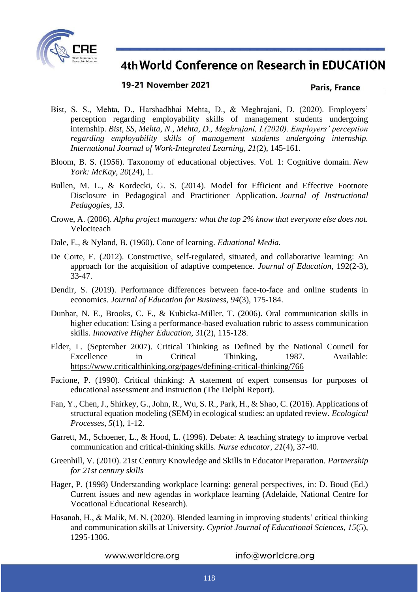

### 19-21 November 2021

#### Paris, France

- Bist, S. S., Mehta, D., Harshadbhai Mehta, D., & Meghrajani, D. (2020). Employers' perception regarding employability skills of management students undergoing internship. *Bist, SS, Mehta, N., Mehta, D., Meghrajani, I.(2020). Employers' perception regarding employability skills of management students undergoing internship. International Journal of Work-Integrated Learning*, *21*(2), 145-161.
- Bloom, B. S. (1956). Taxonomy of educational objectives. Vol. 1: Cognitive domain. *New York: McKay*, *20*(24), 1.
- Bullen, M. L., & Kordecki, G. S. (2014). Model for Efficient and Effective Footnote Disclosure in Pedagogical and Practitioner Application. *Journal of Instructional Pedagogies*, *13*.
- Crowe, A. (2006). *Alpha project managers: what the top 2% know that everyone else does not.* Velociteach
- Dale, E., & Nyland, B. (1960). Cone of learning. *Eduational Media.*
- De Corte, E. (2012). Constructive, self-regulated, situated, and collaborative learning: An approach for the acquisition of adaptive competence. *Journal of Education,* 192(2-3), 33-47.
- Dendir, S. (2019). Performance differences between face-to-face and online students in economics. *Journal of Education for Business*, *94*(3), 175-184.
- Dunbar, N. E., Brooks, C. F., & Kubicka-Miller, T. (2006). Oral communication skills in higher education: Using a performance-based evaluation rubric to assess communication skills. *Innovative Higher Education*, 31(2), 115-128.
- Elder, L. (September 2007). Critical Thinking as Defined by the National Council for Excellence in Critical Thinking, 1987. Available: <https://www.criticalthinking.org/pages/defining-critical-thinking/766>
- Facione, P. (1990). Critical thinking: A statement of expert consensus for purposes of educational assessment and instruction (The Delphi Report).
- Fan, Y., Chen, J., Shirkey, G., John, R., Wu, S. R., Park, H., & Shao, C. (2016). Applications of structural equation modeling (SEM) in ecological studies: an updated review. *Ecological Processes*, *5*(1), 1-12.
- Garrett, M., Schoener, L., & Hood, L. (1996). Debate: A teaching strategy to improve verbal communication and critical-thinking skills. *Nurse educator*, *21*(4), 37-40.
- Greenhill, V. (2010). 21st Century Knowledge and Skills in Educator Preparation. *Partnership for 21st century skills*
- Hager, P. (1998) Understanding workplace learning: general perspectives, in: D. Boud (Ed.) Current issues and new agendas in workplace learning (Adelaide, National Centre for Vocational Educational Research).
- Hasanah, H., & Malik, M. N. (2020). Blended learning in improving students' critical thinking and communication skills at University. *Cypriot Journal of Educational Sciences*, *15*(5), 1295-1306.

www.worldcre.org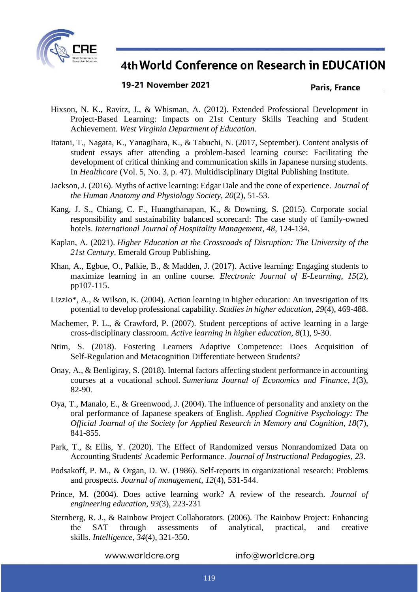

### 19-21 November 2021

#### Paris, France

- Hixson, N. K., Ravitz, J., & Whisman, A. (2012). Extended Professional Development in Project-Based Learning: Impacts on 21st Century Skills Teaching and Student Achievement. *West Virginia Department of Education*.
- Itatani, T., Nagata, K., Yanagihara, K., & Tabuchi, N. (2017, September). Content analysis of student essays after attending a problem-based learning course: Facilitating the development of critical thinking and communication skills in Japanese nursing students. In *Healthcare* (Vol. 5, No. 3, p. 47). Multidisciplinary Digital Publishing Institute.
- Jackson, J. (2016). Myths of active learning: Edgar Dale and the cone of experience. *Journal of the Human Anatomy and Physiology Society*, *20*(2), 51-53.
- Kang, J. S., Chiang, C. F., Huangthanapan, K., & Downing, S. (2015). Corporate social responsibility and sustainability balanced scorecard: The case study of family-owned hotels. *International Journal of Hospitality Management*, *48*, 124-134.
- Kaplan, A. (2021). *Higher Education at the Crossroads of Disruption: The University of the 21st Century*. Emerald Group Publishing.
- Khan, A., Egbue, O., Palkie, B., & Madden, J. (2017). Active learning: Engaging students to maximize learning in an online course. *Electronic Journal of E-Learning*, *15*(2), pp107-115.
- Lizzio\*, A., & Wilson, K. (2004). Action learning in higher education: An investigation of its potential to develop professional capability. *Studies in higher education*, *29*(4), 469-488.
- Machemer, P. L., & Crawford, P. (2007). Student perceptions of active learning in a large cross-disciplinary classroom. *Active learning in higher education*, *8*(1), 9-30.
- Ntim, S. (2018). Fostering Learners Adaptive Competence: Does Acquisition of Self-Regulation and Metacognition Differentiate between Students?
- Onay, A., & Benligiray, S. (2018). Internal factors affecting student performance in accounting courses at a vocational school. *Sumerianz Journal of Economics and Finance*, *1*(3), 82-90.
- Oya, T., Manalo, E., & Greenwood, J. (2004). The influence of personality and anxiety on the oral performance of Japanese speakers of English. *Applied Cognitive Psychology: The Official Journal of the Society for Applied Research in Memory and Cognition*, *18*(7), 841-855.
- Park, T., & Ellis, Y. (2020). The Effect of Randomized versus Nonrandomized Data on Accounting Students' Academic Performance. *Journal of Instructional Pedagogies*, *23*.
- Podsakoff, P. M., & Organ, D. W. (1986). Self-reports in organizational research: Problems and prospects. *Journal of management*, *12*(4), 531-544.
- Prince, M. (2004). Does active learning work? A review of the research. *Journal of engineering education*, *93*(3), 223-231
- Sternberg, R. J., & Rainbow Project Collaborators. (2006). The Rainbow Project: Enhancing the SAT through assessments of analytical, practical, and creative skills. *Intelligence*, *34*(4), 321-350.

www.worldcre.org